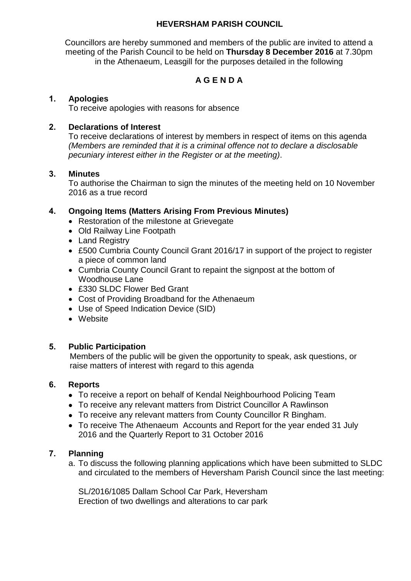## **HEVERSHAM PARISH COUNCIL**

Councillors are hereby summoned and members of the public are invited to attend a meeting of the Parish Council to be held on **Thursday 8 December 2016** at 7.30pm in the Athenaeum, Leasgill for the purposes detailed in the following

# **A G E N D A**

## **1. Apologies**

To receive apologies with reasons for absence

## **2. Declarations of Interest**

To receive declarations of interest by members in respect of items on this agenda *(Members are reminded that it is a criminal offence not to declare a disclosable pecuniary interest either in the Register or at the meeting)*.

## **3. Minutes**

To authorise the Chairman to sign the minutes of the meeting held on 10 November 2016 as a true record

## **4. Ongoing Items (Matters Arising From Previous Minutes)**

- Restoration of the milestone at Grievegate
- Old Railway Line Footpath
- Land Registry
- £500 Cumbria County Council Grant 2016/17 in support of the project to register a piece of common land
- Cumbria County Council Grant to repaint the signpost at the bottom of Woodhouse Lane
- £330 SLDC Flower Bed Grant
- Cost of Providing Broadband for the Athenaeum
- Use of Speed Indication Device (SID)
- Website

## **5. Public Participation**

 Members of the public will be given the opportunity to speak, ask questions, or raise matters of interest with regard to this agenda

## **6. Reports**

- To receive a report on behalf of Kendal Neighbourhood Policing Team
- To receive any relevant matters from District Councillor A Rawlinson
- To receive any relevant matters from County Councillor R Bingham.
- To receive The Athenaeum Accounts and Report for the year ended 31 July 2016 and the Quarterly Report to 31 October 2016

## **7. Planning**

a. To discuss the following planning applications which have been submitted to SLDC and circulated to the members of Heversham Parish Council since the last meeting:

SL/2016/1085 Dallam School Car Park, Heversham Erection of two dwellings and alterations to car park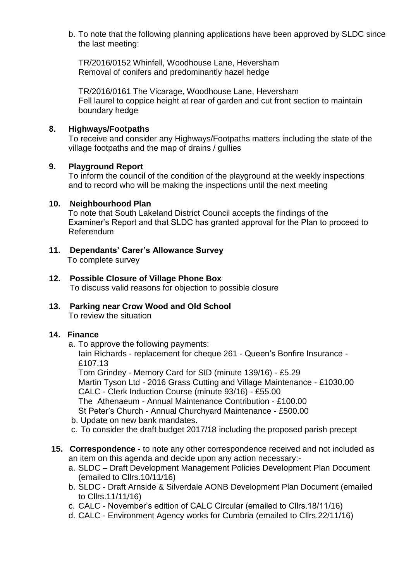b. To note that the following planning applications have been approved by SLDC since the last meeting:

TR/2016/0152 Whinfell, Woodhouse Lane, Heversham Removal of conifers and predominantly hazel hedge

TR/2016/0161 The Vicarage, Woodhouse Lane, Heversham Fell laurel to coppice height at rear of garden and cut front section to maintain boundary hedge

## **8. Highways/Footpaths**

To receive and consider any Highways/Footpaths matters including the state of the village footpaths and the map of drains / gullies

### **9. Playground Report**

To inform the council of the condition of the playground at the weekly inspections and to record who will be making the inspections until the next meeting

### **10. Neighbourhood Plan**

To note that South Lakeland District Council accepts the findings of the Examiner's Report and that SLDC has granted approval for the Plan to proceed to Referendum

- **11. Dependants' Carer's Allowance Survey** To complete survey
- **12. Possible Closure of Village Phone Box** To discuss valid reasons for objection to possible closure
- **13. Parking near Crow Wood and Old School** To review the situation

#### **14. Finance**

a. To approve the following payments:

Iain Richards - replacement for cheque 261 - Queen's Bonfire Insurance - £107.13

Tom Grindey - Memory Card for SID (minute 139/16) - £5.29 Martin Tyson Ltd - 2016 Grass Cutting and Village Maintenance - £1030.00 CALC - Clerk Induction Course (minute 93/16) - £55.00 The Athenaeum - Annual Maintenance Contribution - £100.00 St Peter's Church - Annual Churchyard Maintenance - £500.00 b. Update on new bank mandates.

- c. To consider the draft budget 2017/18 including the proposed parish precept
- **15. Correspondence -** to note any other correspondence received and not included as an item on this agenda and decide upon any action necessary:
	- a. SLDC Draft Development Management Policies Development Plan Document (emailed to Cllrs.10/11/16)
	- b. SLDC Draft Arnside & Silverdale AONB Development Plan Document (emailed to Cllrs.11/11/16)
	- c. CALC November's edition of CALC Circular (emailed to Cllrs.18/11/16)
	- d. CALC Environment Agency works for Cumbria (emailed to Cllrs.22/11/16)